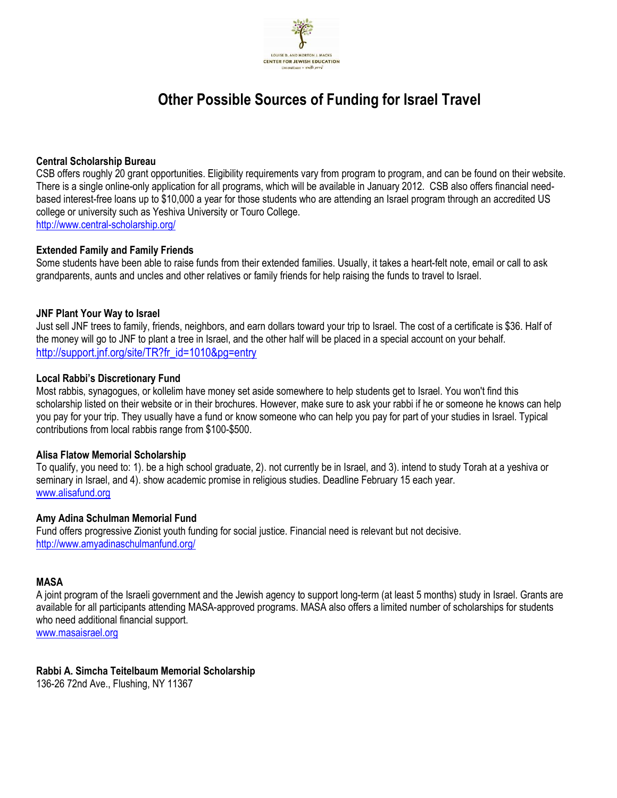

# Other Possible Sources of Funding for Israel Travel

#### Central Scholarship Bureau

CSB offers roughly 20 grant opportunities. Eligibility requirements vary from program to program, and can be found on their website. There is a single online-only application for all programs, which will be available in January 2012. CSB also offers financial needbased interest-free loans up to \$10,000 a year for those students who are attending an Israel program through an accredited US college or university such as Yeshiva University or Touro College. http://www.central-scholarship.org/

#### Extended Family and Family Friends

Some students have been able to raise funds from their extended families. Usually, it takes a heart-felt note, email or call to ask grandparents, aunts and uncles and other relatives or family friends for help raising the funds to travel to Israel.

#### JNF Plant Your Way to Israel

Just sell JNF trees to family, friends, neighbors, and earn dollars toward your trip to Israel. The cost of a certificate is \$36. Half of the money will go to JNF to plant a tree in Israel, and the other half will be placed in a special account on your behalf. http://support.jnf.org/site/TR?fr\_id=1010&pg=entry

#### Local Rabbi's Discretionary Fund

Most rabbis, synagogues, or kollelim have money set aside somewhere to help students get to Israel. You won't find this scholarship listed on their website or in their brochures. However, make sure to ask your rabbi if he or someone he knows can help you pay for your trip. They usually have a fund or know someone who can help you pay for part of your studies in Israel. Typical contributions from local rabbis range from \$100-\$500.

#### Alisa Flatow Memorial Scholarship

To qualify, you need to: 1). be a high school graduate, 2). not currently be in Israel, and 3). intend to study Torah at a yeshiva or seminary in Israel, and 4). show academic promise in religious studies. Deadline February 15 each year. www.alisafund.org

#### Amy Adina Schulman Memorial Fund

Fund offers progressive Zionist youth funding for social justice. Financial need is relevant but not decisive. http://www.amyadinaschulmanfund.org/

## MASA

A joint program of the Israeli government and the Jewish agency to support long-term (at least 5 months) study in Israel. Grants are available for all participants attending MASA-approved programs. MASA also offers a limited number of scholarships for students who need additional financial support.

www.masaisrael.org

#### Rabbi A. Simcha Teitelbaum Memorial Scholarship

136-26 72nd Ave., Flushing, NY 11367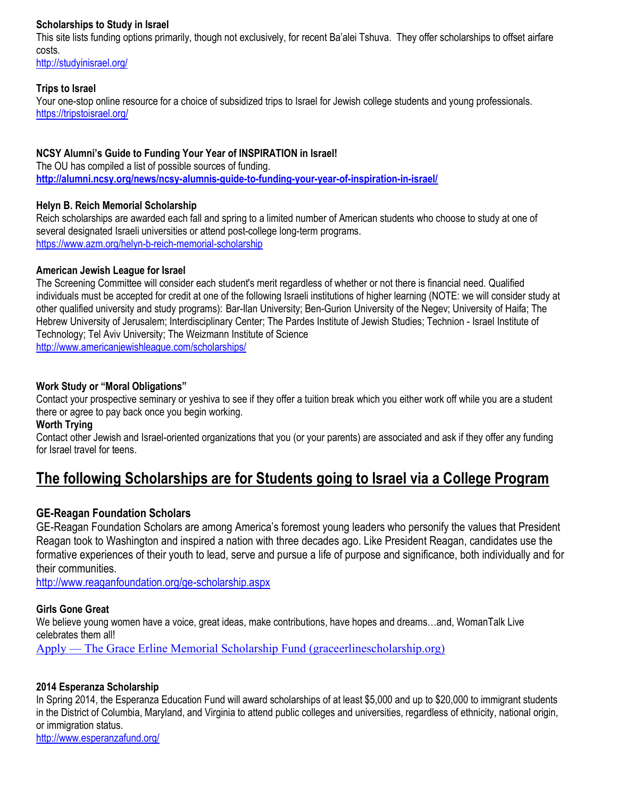# Scholarships to Study in Israel

This site lists funding options primarily, though not exclusively, for recent Ba'alei Tshuva. They offer scholarships to offset airfare costs.

http://studyinisrael.org/

## Trips to Israel

Your one-stop online resource for a choice of subsidized trips to Israel for Jewish college students and young professionals. https://tripstoisrael.org/

## NCSY Alumni's Guide to Funding Your Year of INSPIRATION in Israel!

The OU has compiled a list of possible sources of funding. http://alumni.ncsy.org/news/ncsy-alumnis-guide-to-funding-your-year-of-inspiration-in-israel/

## Helyn B. Reich Memorial Scholarship

Reich scholarships are awarded each fall and spring to a limited number of American students who choose to study at one of several designated Israeli universities or attend post-college long-term programs. https://www.azm.org/helyn-b-reich-memorial-scholarship

#### American Jewish League for Israel

The Screening Committee will consider each student's merit regardless of whether or not there is financial need. Qualified individuals must be accepted for credit at one of the following Israeli institutions of higher learning (NOTE: we will consider study at other qualified university and study programs): Bar-Ilan University; Ben-Gurion University of the Negev; University of Haifa; The Hebrew University of Jerusalem; Interdisciplinary Center; The Pardes Institute of Jewish Studies; Technion - Israel Institute of Technology; Tel Aviv University; The Weizmann Institute of Science

http://www.americanjewishleague.com/scholarships/

## Work Study or "Moral Obligations"

Contact your prospective seminary or yeshiva to see if they offer a tuition break which you either work off while you are a student there or agree to pay back once you begin working.

#### Worth Trying

Contact other Jewish and Israel-oriented organizations that you (or your parents) are associated and ask if they offer any funding for Israel travel for teens.

# The following Scholarships are for Students going to Israel via a College Program

# GE-Reagan Foundation Scholars

GE-Reagan Foundation Scholars are among America's foremost young leaders who personify the values that President Reagan took to Washington and inspired a nation with three decades ago. Like President Reagan, candidates use the formative experiences of their youth to lead, serve and pursue a life of purpose and significance, both individually and for their communities.

http://www.reaganfoundation.org/ge-scholarship.aspx

# Girls Gone Great

We believe young women have a voice, great ideas, make contributions, have hopes and dreams...and, WomanTalk Live celebrates them all!

Apply — The Grace Erline Memorial Scholarship Fund (graceerlinescholarship.org)

# 2014 Esperanza Scholarship

In Spring 2014, the Esperanza Education Fund will award scholarships of at least \$5,000 and up to \$20,000 to immigrant students in the District of Columbia, Maryland, and Virginia to attend public colleges and universities, regardless of ethnicity, national origin, or immigration status.

http://www.esperanzafund.org/